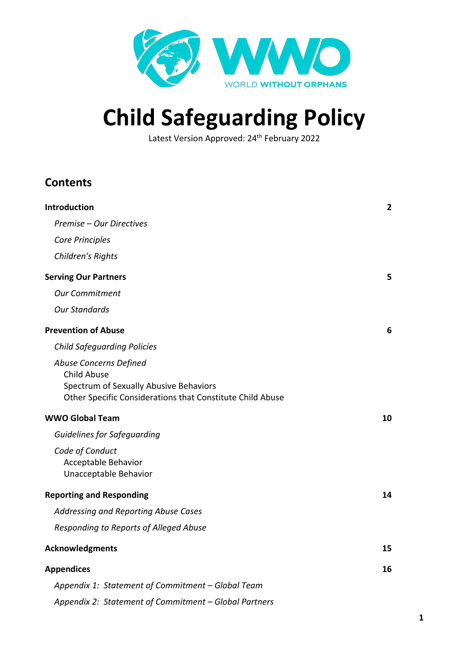

# **Child Safeguarding Policy**

Latest Version Approved: 24<sup>th</sup> February 2022

# **Contents**

| <b>Introduction</b>                                                                                                                                 | $\overline{2}$ |
|-----------------------------------------------------------------------------------------------------------------------------------------------------|----------------|
| Premise - Our Directives                                                                                                                            |                |
| Core Principles                                                                                                                                     |                |
| Children's Rights                                                                                                                                   |                |
| <b>Serving Our Partners</b>                                                                                                                         | 5              |
| <b>Our Commitment</b>                                                                                                                               |                |
| <b>Our Standards</b>                                                                                                                                |                |
| <b>Prevention of Abuse</b>                                                                                                                          | 6              |
| <b>Child Safeguarding Policies</b>                                                                                                                  |                |
| Abuse Concerns Defined<br><b>Child Abuse</b><br>Spectrum of Sexually Abusive Behaviors<br>Other Specific Considerations that Constitute Child Abuse |                |
| <b>WWO Global Team</b>                                                                                                                              | 10             |
| <b>Guidelines for Safeguarding</b>                                                                                                                  |                |
| Code of Conduct<br>Acceptable Behavior<br>Unacceptable Behavior                                                                                     |                |
| <b>Reporting and Responding</b>                                                                                                                     | 14             |
| Addressing and Reporting Abuse Cases                                                                                                                |                |
| Responding to Reports of Alleged Abuse                                                                                                              |                |
| <b>Acknowledgments</b>                                                                                                                              | 15             |
| <b>Appendices</b>                                                                                                                                   | 16             |
| Appendix 1: Statement of Commitment - Global Team                                                                                                   |                |
| Appendix 2: Statement of Commitment - Global Partners                                                                                               |                |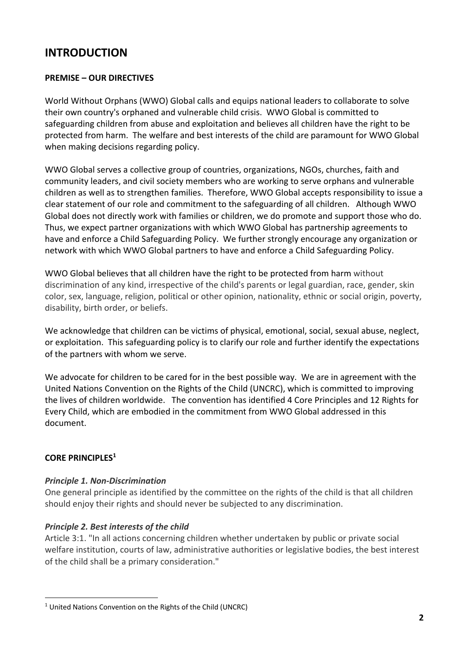# **INTRODUCTION**

#### **PREMISE – OUR DIRECTIVES**

World Without Orphans (WWO) Global calls and equips national leaders to collaborate to solve their own country's orphaned and vulnerable child crisis. WWO Global is committed to safeguarding children from abuse and exploitation and believes all children have the right to be protected from harm. The welfare and best interests of the child are paramount for WWO Global when making decisions regarding policy.

WWO Global serves a collective group of countries, organizations, NGOs, churches, faith and community leaders, and civil society members who are working to serve orphans and vulnerable children as well as to strengthen families. Therefore, WWO Global accepts responsibility to issue a clear statement of our role and commitment to the safeguarding of all children. Although WWO Global does not directly work with families or children, we do promote and support those who do. Thus, we expect partner organizations with which WWO Global has partnership agreements to have and enforce a Child Safeguarding Policy. We further strongly encourage any organization or network with which WWO Global partners to have and enforce a Child Safeguarding Policy.

WWO Global believes that all children have the right to be protected from harm without discrimination of any kind, irrespective of the child's parents or legal guardian, race, gender, skin color, sex, language, religion, political or other opinion, nationality, ethnic or social origin, poverty, disability, birth order, or beliefs.

We acknowledge that children can be victims of physical, emotional, social, sexual abuse, neglect, or exploitation. This safeguarding policy is to clarify our role and further identify the expectations of the partners with whom we serve.

We advocate for children to be cared for in the best possible way. We are in agreement with the United Nations Convention on the Rights of the Child (UNCRC), which is committed to improving the lives of children worldwide. The convention has identified 4 Core Principles and 12 Rights for Every Child, which are embodied in the commitment from WWO Global addressed in this document.

# **CORE PRINCIPLES1**

#### *Principle 1. Non-Discrimination*

One general principle as identified by the committee on the rights of the child is that all children should enjoy their rights and should never be subjected to any discrimination.

#### *Principle 2. Best interests of the child*

Article 3:1. "In all actions concerning children whether undertaken by public or private social welfare institution, courts of law, administrative authorities or legislative bodies, the best interest of the child shall be a primary consideration."

<sup>&</sup>lt;sup>1</sup> United Nations Convention on the Rights of the Child (UNCRC)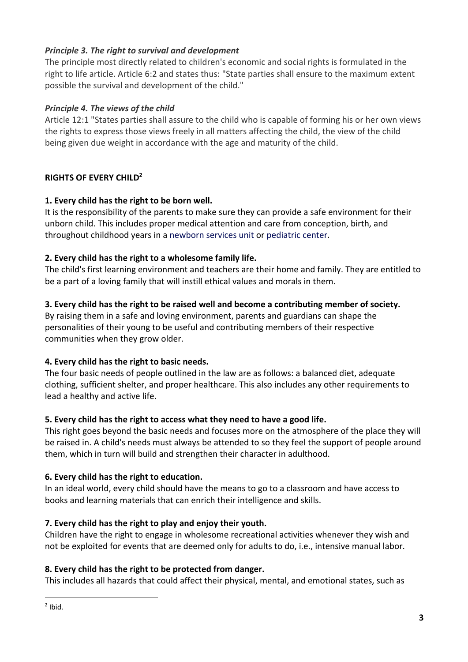## *Principle 3. The right to survival and development*

The principle most directly related to children's economic and social rights is formulated in the right to life article. Article 6:2 and states thus: "State parties shall ensure to the maximum extent possible the survival and development of the child."

#### *Principle 4. The views of the child*

Article 12:1 "States parties shall assure to the child who is capable of forming his or her own views the rights to express those views freely in all matters affecting the child, the view of the child being given due weight in accordance with the age and maturity of the child.

# **RIGHTS OF EVERY CHILD2**

# **1. Every child has the right to be born well.**

It is the responsibility of the parents to make sure they can provide a safe environment for their unborn child. This includes proper medical attention and care from conception, birth, and throughout childhood years in a newborn services unit or pediatric center.

# **2. Every child has the right to a wholesome family life.**

The child's first learning environment and teachers are their home and family. They are entitled to be a part of a loving family that will instill ethical values and morals in them.

## **3. Every child has the right to be raised well and become a contributing member of society.**

By raising them in a safe and loving environment, parents and guardians can shape the personalities of their young to be useful and contributing members of their respective communities when they grow older.

# **4. Every child has the right to basic needs.**

The four basic needs of people outlined in the law are as follows: a balanced diet, adequate clothing, sufficient shelter, and proper healthcare. This also includes any other requirements to lead a healthy and active life.

# **5. Every child has the right to access what they need to have a good life.**

This right goes beyond the basic needs and focuses more on the atmosphere of the place they will be raised in. A child's needs must always be attended to so they feel the support of people around them, which in turn will build and strengthen their character in adulthood.

# **6. Every child has the right to education.**

In an ideal world, every child should have the means to go to a classroom and have access to books and learning materials that can enrich their intelligence and skills.

# **7. Every child has the right to play and enjoy their youth.**

Children have the right to engage in wholesome recreational activities whenever they wish and not be exploited for events that are deemed only for adults to do, i.e., intensive manual labor.

# **8. Every child has the right to be protected from danger.**

This includes all hazards that could affect their physical, mental, and emotional states, such as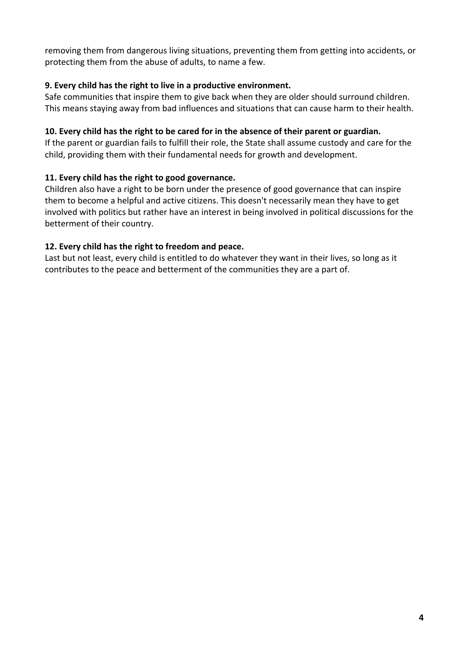removing them from dangerous living situations, preventing them from getting into accidents, or protecting them from the abuse of adults, to name a few.

## **9. Every child has the right to live in a productive environment.**

Safe communities that inspire them to give back when they are older should surround children. This means staying away from bad influences and situations that can cause harm to their health.

## **10. Every child has the right to be cared for in the absence of their parent or guardian.**

If the parent or guardian fails to fulfill their role, the State shall assume custody and care for the child, providing them with their fundamental needs for growth and development.

# **11. Every child has the right to good governance.**

Children also have a right to be born under the presence of good governance that can inspire them to become a helpful and active citizens. This doesn't necessarily mean they have to get involved with politics but rather have an interest in being involved in political discussions for the betterment of their country.

# **12. Every child has the right to freedom and peace.**

Last but not least, every child is entitled to do whatever they want in their lives, so long as it contributes to the peace and betterment of the communities they are a part of.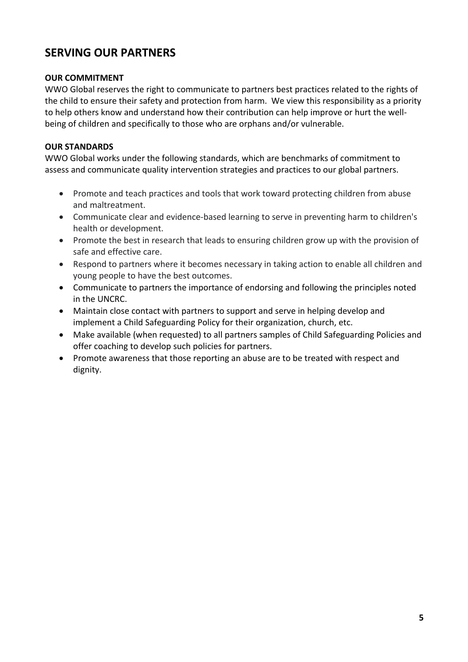# **SERVING OUR PARTNERS**

#### **OUR COMMITMENT**

WWO Global reserves the right to communicate to partners best practices related to the rights of the child to ensure their safety and protection from harm. We view this responsibility as a priority to help others know and understand how their contribution can help improve or hurt the wellbeing of children and specifically to those who are orphans and/or vulnerable.

#### **OUR STANDARDS**

WWO Global works under the following standards, which are benchmarks of commitment to assess and communicate quality intervention strategies and practices to our global partners.

- Promote and teach practices and tools that work toward protecting children from abuse and maltreatment.
- Communicate clear and evidence-based learning to serve in preventing harm to children's health or development.
- Promote the best in research that leads to ensuring children grow up with the provision of safe and effective care.
- Respond to partners where it becomes necessary in taking action to enable all children and young people to have the best outcomes.
- Communicate to partners the importance of endorsing and following the principles noted in the UNCRC.
- Maintain close contact with partners to support and serve in helping develop and implement a Child Safeguarding Policy for their organization, church, etc.
- Make available (when requested) to all partners samples of Child Safeguarding Policies and offer coaching to develop such policies for partners.
- Promote awareness that those reporting an abuse are to be treated with respect and dignity.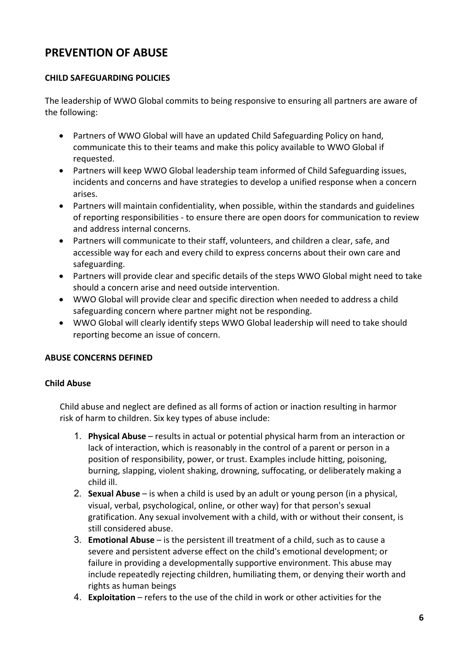# **PREVENTION OF ABUSE**

# **CHILD SAFEGUARDING POLICIES**

The leadership of WWO Global commits to being responsive to ensuring all partners are aware of the following:

- Partners of WWO Global will have an updated Child Safeguarding Policy on hand, communicate this to their teams and make this policy available to WWO Global if requested.
- Partners will keep WWO Global leadership team informed of Child Safeguarding issues, incidents and concerns and have strategies to develop a unified response when a concern arises.
- Partners will maintain confidentiality, when possible, within the standards and guidelines of reporting responsibilities - to ensure there are open doors for communication to review and address internal concerns.
- Partners will communicate to their staff, volunteers, and children a clear, safe, and accessible way for each and every child to express concerns about their own care and safeguarding.
- Partners will provide clear and specific details of the steps WWO Global might need to take should a concern arise and need outside intervention.
- WWO Global will provide clear and specific direction when needed to address a child safeguarding concern where partner might not be responding.
- WWO Global will clearly identify steps WWO Global leadership will need to take should reporting become an issue of concern.

#### **ABUSE CONCERNS DEFINED**

#### **Child Abuse**

Child abuse and neglect are defined as all forms of action or inaction resulting in harmor risk of harm to children. Six key types of abuse include:

- 1. **Physical Abuse**  results in actual or potential physical harm from an interaction or lack of interaction, which is reasonably in the control of a parent or person in a position of responsibility, power, or trust. Examples include hitting, poisoning, burning, slapping, violent shaking, drowning, suffocating, or deliberately making a child ill.
- 2. **Sexual Abuse**  is when a child is used by an adult or young person (in a physical, visual, verbal, psychological, online, or other way) for that person's sexual gratification. Any sexual involvement with a child, with or without their consent, is still considered abuse.
- 3. **Emotional Abuse**  is the persistent ill treatment of a child, such as to cause a severe and persistent adverse effect on the child's emotional development; or failure in providing a developmentally supportive environment. This abuse may include repeatedly rejecting children, humiliating them, or denying their worth and rights as human beings
- 4. **Exploitation**  refers to the use of the child in work or other activities for the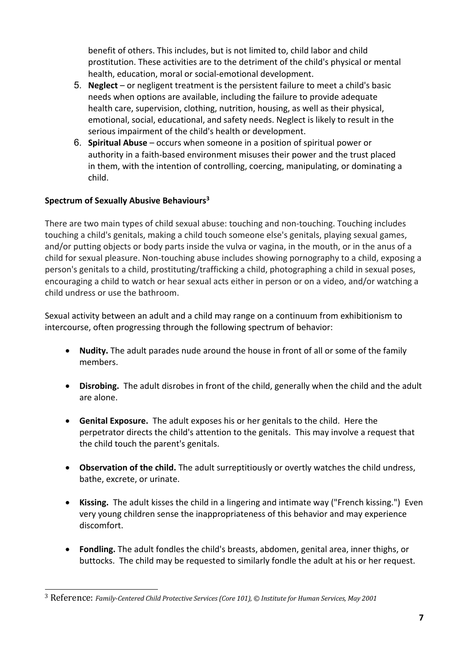benefit of others. This includes, but is not limited to, child labor and child prostitution. These activities are to the detriment of the child's physical or mental health, education, moral or social-emotional development.

- 5. **Neglect**  or negligent treatment is the persistent failure to meet a child's basic needs when options are available, including the failure to provide adequate health care, supervision, clothing, nutrition, housing, as well as their physical, emotional, social, educational, and safety needs. Neglect is likely to result in the serious impairment of the child's health or development.
- 6. **Spiritual Abuse**  occurs when someone in a position of spiritual power or authority in a faith-based environment misuses their power and the trust placed in them, with the intention of controlling, coercing, manipulating, or dominating a child.

## **Spectrum of Sexually Abusive Behaviours3**

There are two main types of child sexual abuse: touching and non-touching. Touching includes touching a child's genitals, making a child touch someone else's genitals, playing sexual games, and/or putting objects or body parts inside the vulva or vagina, in the mouth, or in the anus of a child for sexual pleasure. Non-touching abuse includes showing pornography to a child, exposing a person's genitals to a child, prostituting/trafficking a child, photographing a child in sexual poses, encouraging a child to watch or hear sexual acts either in person or on a video, and/or watching a child undress or use the bathroom.

Sexual activity between an adult and a child may range on a continuum from exhibitionism to intercourse, often progressing through the following spectrum of behavior:

- **Nudity.** The adult parades nude around the house in front of all or some of the family members.
- **Disrobing.** The adult disrobes in front of the child, generally when the child and the adult are alone.
- **Genital Exposure.** The adult exposes his or her genitals to the child. Here the perpetrator directs the child's attention to the genitals. This may involve a request that the child touch the parent's genitals.
- **Observation of the child.** The adult surreptitiously or overtly watches the child undress, bathe, excrete, or urinate.
- **Kissing.** The adult kisses the child in a lingering and intimate way ("French kissing.") Even very young children sense the inappropriateness of this behavior and may experience discomfort.
- **Fondling.** The adult fondles the child's breasts, abdomen, genital area, inner thighs, or buttocks. The child may be requested to similarly fondle the adult at his or her request.

<sup>3</sup> Reference: *Family-Centered Child Protective Services (Core 101), © Institute for Human Services, May 2001*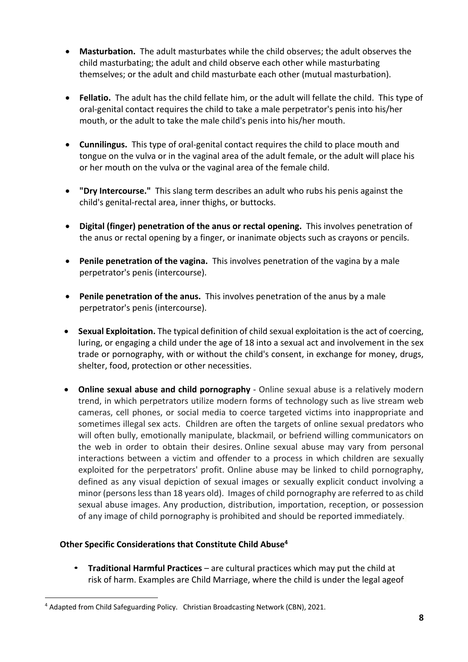- **Masturbation.** The adult masturbates while the child observes; the adult observes the child masturbating; the adult and child observe each other while masturbating themselves; or the adult and child masturbate each other (mutual masturbation).
- **Fellatio.** The adult has the child fellate him, or the adult will fellate the child. This type of oral-genital contact requires the child to take a male perpetrator's penis into his/her mouth, or the adult to take the male child's penis into his/her mouth.
- **Cunnilingus.** This type of oral-genital contact requires the child to place mouth and tongue on the vulva or in the vaginal area of the adult female, or the adult will place his or her mouth on the vulva or the vaginal area of the female child.
- **"Dry Intercourse."** This slang term describes an adult who rubs his penis against the child's genital-rectal area, inner thighs, or buttocks.
- **Digital (finger) penetration of the anus or rectal opening.** This involves penetration of the anus or rectal opening by a finger, or inanimate objects such as crayons or pencils.
- **Penile penetration of the vagina.** This involves penetration of the vagina by a male perpetrator's penis (intercourse).
- **Penile penetration of the anus.** This involves penetration of the anus by a male perpetrator's penis (intercourse).
- **Sexual Exploitation.** The typical definition of child sexual exploitation is the act of coercing, luring, or engaging a child under the age of 18 into a sexual act and involvement in the sex trade or pornography, with or without the child's consent, in exchange for money, drugs, shelter, food, protection or other necessities.
- **Online sexual abuse and child pornography** Online sexual abuse is a relatively modern trend, in which perpetrators utilize modern forms of technology such as live stream web cameras, cell phones, or social media to coerce targeted victims into inappropriate and sometimes illegal sex acts. Children are often the targets of online sexual predators who will often bully, emotionally manipulate, blackmail, or befriend willing communicators on the web in order to obtain their desires. Online sexual abuse may vary from personal interactions between a victim and offender to a process in which children are sexually exploited for the perpetrators' profit. Online abuse may be linked to child pornography, defined as any visual depiction of sexual images or sexually explicit conduct involving a minor (persons less than 18 years old). Images of child pornography are referred to as child sexual abuse images. Any production, distribution, importation, reception, or possession of any image of child pornography is prohibited and should be reported immediately.

#### **Other Specific Considerations that Constitute Child Abuse4**

• **Traditional Harmful Practices** – are cultural practices which may put the child at risk of harm. Examples are Child Marriage, where the child is under the legal ageof

<sup>4</sup> Adapted from Child Safeguarding Policy. Christian Broadcasting Network (CBN), 2021.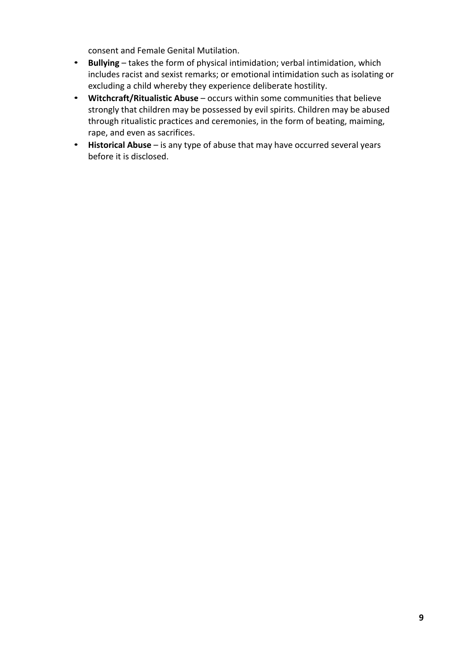consent and Female Genital Mutilation.

- **Bullying** takes the form of physical intimidation; verbal intimidation, which includes racist and sexist remarks; or emotional intimidation such as isolating or excluding a child whereby they experience deliberate hostility.
- **Witchcraft/Ritualistic Abuse** occurs within some communities that believe strongly that children may be possessed by evil spirits. Children may be abused through ritualistic practices and ceremonies, in the form of beating, maiming, rape, and even as sacrifices.
- **Historical Abuse** is any type of abuse that may have occurred several years before it is disclosed.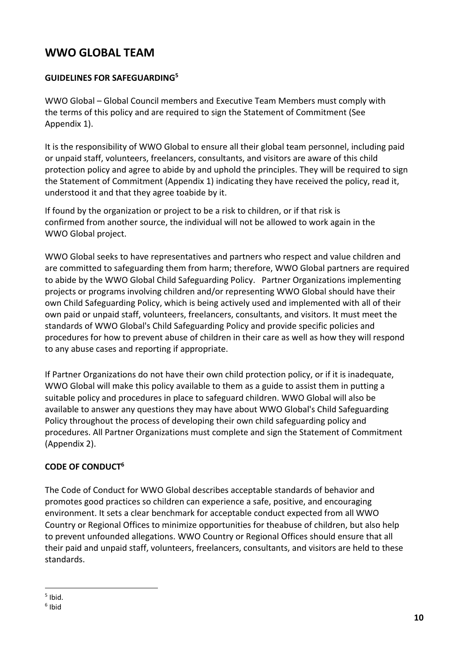# **WWO GLOBAL TEAM**

## **GUIDELINES FOR SAFEGUARDING5**

WWO Global – Global Council members and Executive Team Members must comply with the terms of this policy and are required to sign the Statement of Commitment (See Appendix 1).

It is the responsibility of WWO Global to ensure all their global team personnel, including paid or unpaid staff, volunteers, freelancers, consultants, and visitors are aware of this child protection policy and agree to abide by and uphold the principles. They will be required to sign the Statement of Commitment (Appendix 1) indicating they have received the policy, read it, understood it and that they agree toabide by it.

If found by the organization or project to be a risk to children, or if that risk is confirmed from another source, the individual will not be allowed to work again in the WWO Global project.

WWO Global seeks to have representatives and partners who respect and value children and are committed to safeguarding them from harm; therefore, WWO Global partners are required to abide by the WWO Global Child Safeguarding Policy. Partner Organizations implementing projects or programs involving children and/or representing WWO Global should have their own Child Safeguarding Policy, which is being actively used and implemented with all of their own paid or unpaid staff, volunteers, freelancers, consultants, and visitors. It must meet the standards of WWO Global's Child Safeguarding Policy and provide specific policies and procedures for how to prevent abuse of children in their care as well as how they will respond to any abuse cases and reporting if appropriate.

If Partner Organizations do not have their own child protection policy, or if it is inadequate, WWO Global will make this policy available to them as a guide to assist them in putting a suitable policy and procedures in place to safeguard children. WWO Global will also be available to answer any questions they may have about WWO Global's Child Safeguarding Policy throughout the process of developing their own child safeguarding policy and procedures. All Partner Organizations must complete and sign the Statement of Commitment (Appendix 2).

# **CODE OF CONDUCT6**

The Code of Conduct for WWO Global describes acceptable standards of behavior and promotes good practices so children can experience a safe, positive, and encouraging environment. It sets a clear benchmark for acceptable conduct expected from all WWO Country or Regional Offices to minimize opportunities for theabuse of children, but also help to prevent unfounded allegations. WWO Country or Regional Offices should ensure that all their paid and unpaid staff, volunteers, freelancers, consultants, and visitors are held to these standards.

 $<sup>5</sup>$  Ibid.</sup>

<sup>6</sup> Ibid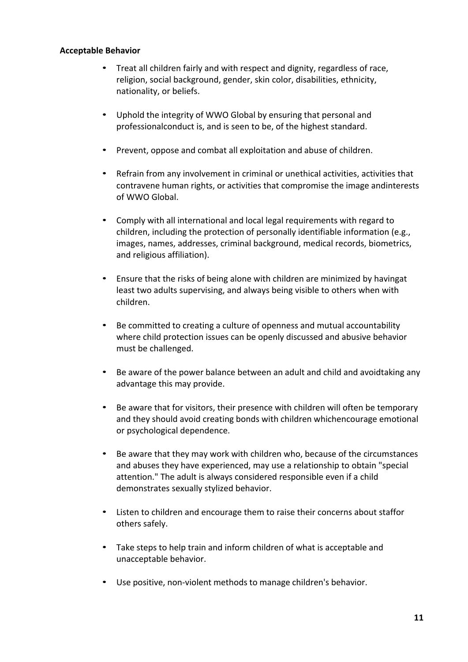#### **Acceptable Behavior**

- Treat all children fairly and with respect and dignity, regardless of race, religion, social background, gender, skin color, disabilities, ethnicity, nationality, or beliefs.
- Uphold the integrity of WWO Global by ensuring that personal and professionalconduct is, and is seen to be, of the highest standard.
- Prevent, oppose and combat all exploitation and abuse of children.
- Refrain from any involvement in criminal or unethical activities, activities that contravene human rights, or activities that compromise the image andinterests of WWO Global.
- Comply with all international and local legal requirements with regard to children, including the protection of personally identifiable information (e.g., images, names, addresses, criminal background, medical records, biometrics, and religious affiliation).
- Ensure that the risks of being alone with children are minimized by havingat least two adults supervising, and always being visible to others when with children.
- Be committed to creating a culture of openness and mutual accountability where child protection issues can be openly discussed and abusive behavior must be challenged.
- Be aware of the power balance between an adult and child and avoidtaking any advantage this may provide.
- Be aware that for visitors, their presence with children will often be temporary and they should avoid creating bonds with children whichencourage emotional or psychological dependence.
- Be aware that they may work with children who, because of the circumstances and abuses they have experienced, may use a relationship to obtain "special attention." The adult is always considered responsible even if a child demonstrates sexually stylized behavior.
- Listen to children and encourage them to raise their concerns about staffor others safely.
- Take steps to help train and inform children of what is acceptable and unacceptable behavior.
- Use positive, non-violent methods to manage children's behavior.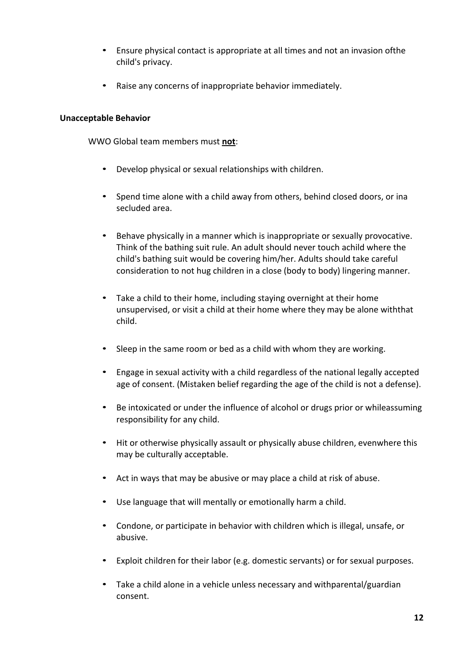- Ensure physical contact is appropriate at all times and not an invasion ofthe child's privacy.
- Raise any concerns of inappropriate behavior immediately.

#### **Unacceptable Behavior**

WWO Global team members must **not**:

- Develop physical or sexual relationships with children.
- Spend time alone with a child away from others, behind closed doors, or ina secluded area.
- Behave physically in a manner which is inappropriate or sexually provocative. Think of the bathing suit rule. An adult should never touch achild where the child's bathing suit would be covering him/her. Adults should take careful consideration to not hug children in a close (body to body) lingering manner.
- Take a child to their home, including staying overnight at their home unsupervised, or visit a child at their home where they may be alone withthat child.
- Sleep in the same room or bed as a child with whom they are working.
- Engage in sexual activity with a child regardless of the national legally accepted age of consent. (Mistaken belief regarding the age of the child is not a defense).
- Be intoxicated or under the influence of alcohol or drugs prior or whileassuming responsibility for any child.
- Hit or otherwise physically assault or physically abuse children, evenwhere this may be culturally acceptable.
- Act in ways that may be abusive or may place a child at risk of abuse.
- Use language that will mentally or emotionally harm a child.
- Condone, or participate in behavior with children which is illegal, unsafe, or abusive.
- Exploit children for their labor (e.g. domestic servants) or for sexual purposes.
- Take a child alone in a vehicle unless necessary and withparental/guardian consent.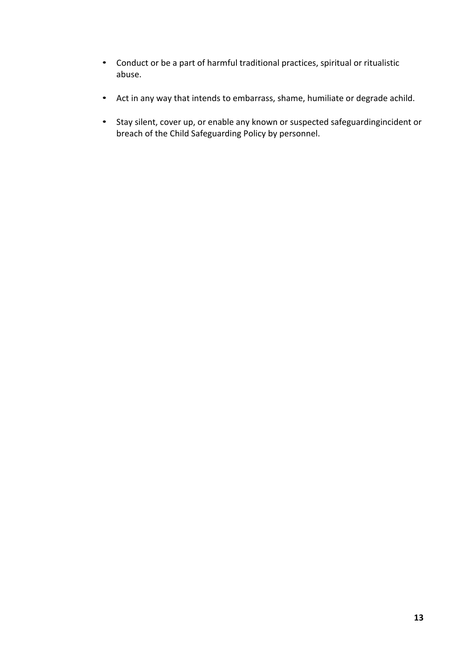- Conduct or be a part of harmful traditional practices, spiritual or ritualistic abuse.
- Act in any way that intends to embarrass, shame, humiliate or degrade achild.
- Stay silent, cover up, or enable any known or suspected safeguardingincident or breach of the Child Safeguarding Policy by personnel.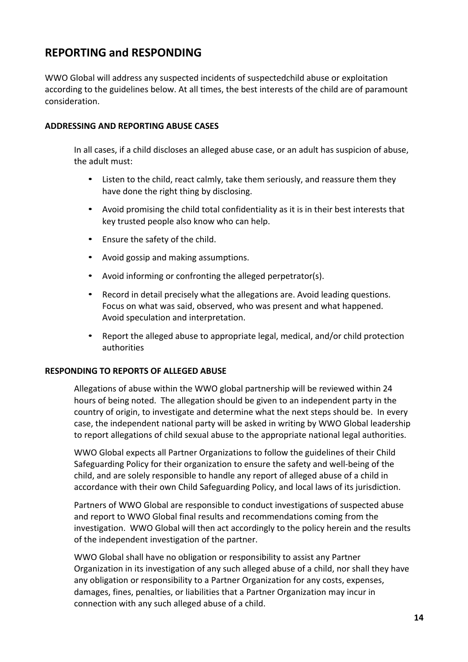# **REPORTING and RESPONDING**

WWO Global will address any suspected incidents of suspectedchild abuse or exploitation according to the guidelines below. At all times, the best interests of the child are of paramount consideration.

#### **ADDRESSING AND REPORTING ABUSE CASES**

In all cases, if a child discloses an alleged abuse case, or an adult has suspicion of abuse, the adult must:

- Listen to the child, react calmly, take them seriously, and reassure them they have done the right thing by disclosing.
- Avoid promising the child total confidentiality as it is in their best interests that key trusted people also know who can help.
- Ensure the safety of the child.
- Avoid gossip and making assumptions.
- Avoid informing or confronting the alleged perpetrator(s).
- Record in detail precisely what the allegations are. Avoid leading questions. Focus on what was said, observed, who was present and what happened. Avoid speculation and interpretation.
- Report the alleged abuse to appropriate legal, medical, and/or child protection authorities

#### **RESPONDING TO REPORTS OF ALLEGED ABUSE**

Allegations of abuse within the WWO global partnership will be reviewed within 24 hours of being noted. The allegation should be given to an independent party in the country of origin, to investigate and determine what the next steps should be. In every case, the independent national party will be asked in writing by WWO Global leadership to report allegations of child sexual abuse to the appropriate national legal authorities.

WWO Global expects all Partner Organizations to follow the guidelines of their Child Safeguarding Policy for their organization to ensure the safety and well-being of the child, and are solely responsible to handle any report of alleged abuse of a child in accordance with their own Child Safeguarding Policy, and local laws of its jurisdiction.

Partners of WWO Global are responsible to conduct investigations of suspected abuse and report to WWO Global final results and recommendations coming from the investigation. WWO Global will then act accordingly to the policy herein and the results of the independent investigation of the partner.

WWO Global shall have no obligation or responsibility to assist any Partner Organization in its investigation of any such alleged abuse of a child, nor shall they have any obligation or responsibility to a Partner Organization for any costs, expenses, damages, fines, penalties, or liabilities that a Partner Organization may incur in connection with any such alleged abuse of a child.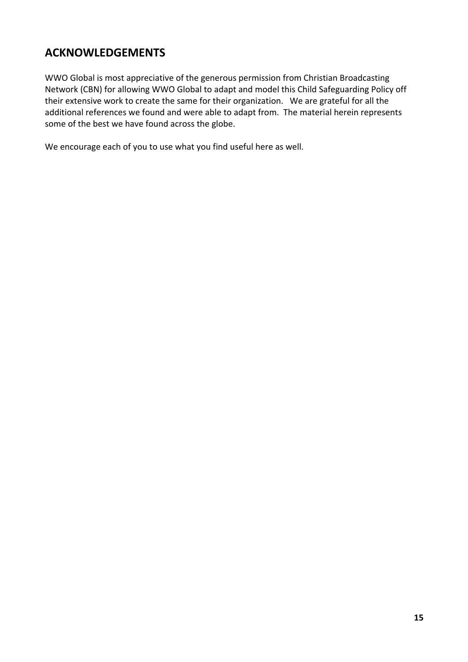# **ACKNOWLEDGEMENTS**

WWO Global is most appreciative of the generous permission from Christian Broadcasting Network (CBN) for allowing WWO Global to adapt and model this Child Safeguarding Policy off their extensive work to create the same for their organization. We are grateful for all the additional references we found and were able to adapt from. The material herein represents some of the best we have found across the globe.

We encourage each of you to use what you find useful here as well.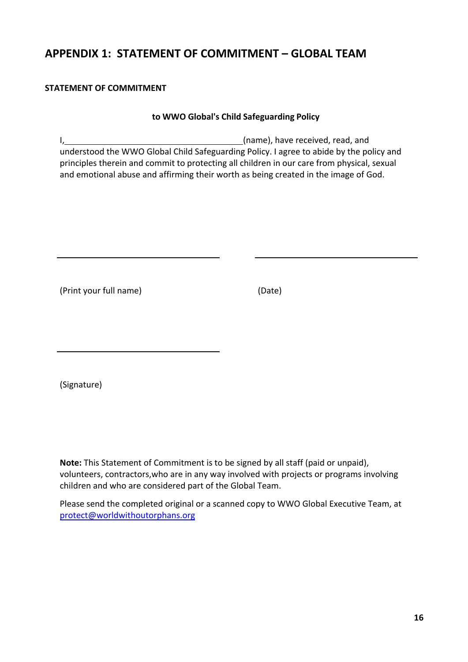# **APPENDIX 1: STATEMENT OF COMMITMENT – GLOBAL TEAM**

#### **STATEMENT OF COMMITMENT**

#### **to WWO Global's Child Safeguarding Policy**

I, (name), have received, read, and understood the WWO Global Child Safeguarding Policy. I agree to abide by the policy and principles therein and commit to protecting all children in our care from physical, sexual and emotional abuse and affirming their worth as being created in the image of God.

(Print your full name) (Date)

(Signature)

**Note:** This Statement of Commitment is to be signed by all staff (paid or unpaid), volunteers, contractors,who are in any way involved with projects or programs involving children and who are considered part of the Global Team.

Please send the completed original or a scanned copy to WWO Global Executive Team, at protect@worldwithoutorphans.org